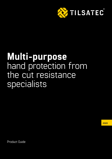

# **Multi-purpose** hand protection from the cut resistance specialists

**2020**

Product Guide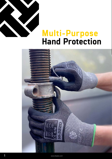

### **Multi-Purpose [Hand Protection](https://tilsatec.com/gb/category/multi-purpose-cut-resistant-gloves)**

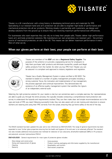

Tilsatec is a UK manufacturer with a long history in developing technical yarns and materials for PPE. Specialising in cut resistant hand and arm protection we are able to engineer high levels of performance and mechanical protection into all our products. Working closely in partnership with customers, we design and develop solutions from the ground up to ensure they are receiving maximum performance/cost efficiencies.

For businesses who want expertise they can rely on to keep their people safe, Tilsatec deliver high performance hand, arm and body protection solutions. We manufacture our own proprietary cut resistant yarn - the primary source of mechanical protection, on site in the UK. This means we can deliver maximum performance in every fibre of what we do.

#### **When our gloves perform at their best, your people can perform at their best.**



Tilsatec are members of the **BSIF** and also a **Registered Safety Supplier**. The purpose of this scheme is to provide a signposting service for employers to help them purchase 'safe' products and eliminate counterfeit, unsafe and illegal safety products from the market. So when you buy PPE from Tilsatec you can be assured it is compliant and approved to industry legislation and regulation.



Tilsatec has a Quality Management System in place certified to ISO 9001. The standard is based on a number of quality management principles including a strong customer focus, the motivation and implementation of top management, the process approach and continual improvement. This demonstrates the existence of an effective quality management system that satisfies the rigours of an independent, external audit.

Selecting the right protective solution for your needs is vital, but can sometimes seem a complex exercise. Our representatives are able to guide you through the entire process, this typically includes conducting a comprehensive hand protection site [survey to understand the hazards and requirements involved. They can then make clear and simple recommendations as to the](https://tilsatec.com/hand-protection-evaluation-process)  type and style of PPE you need. Following successful trials, they can also assist with on site training and inductions to ensure workers are wearing and using their PPE correctly from the outset, ensuring they go home safely at the end of the day.



The EN420 standard has been updated this year and is now referenced as EN21420:2020. The range of general requirements has been expanded to cover further glove properties ensuring that the health and hygiene of the end user is not adversely affected. The standard now also includes additional innocuousness test methods for detection of azo colourants, dimethylformaldehyde (DMFa) in PU products and polyclyclic aromatic hydrocarbons (PAH's)

**EN21420:2020** - General requirements for most types of protective gloves includes:

- Glove design and construction
- Sizing and measurement of gloves
- **Cleaning**
- **Dexterity**
- Innocuousness
- Product marking, packaging and information supplied by the manufacturer
- Breathability and comfort
- Electrostatic properties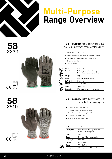

## **Multi-Purpose [Range Overview](https://tilsatec.com/gb/category/multi-purpose-cut-resistant-gloves)**

### **58 2220**





#### **Multi-purpose** ultra-lightweight cut level **B** bi-polymer foam coated glove

- EN388:2016 level B cut resistance **›**
- Exceptional dexterity and tactility for precision handling **›**
- Tough and durable bi-polymer foam palm coating **›**
- Secure dry and oil grip **›**
- 360° breathability **›**

| Code               | 58-2220                                                                            |  |  |
|--------------------|------------------------------------------------------------------------------------|--|--|
| <b>Description</b> | Multi-purpose ultra-lightweight cut level<br><b>B</b> bi-polymer foam coated glove |  |  |
| Gauge              | 18gg                                                                               |  |  |
| Colour             | Grey liner / Black coating                                                         |  |  |
| <b>Cuff Style</b>  | Knit wrist                                                                         |  |  |
| Length             | 230-270mm                                                                          |  |  |
| <b>Sizes</b>       | 7/S - 11/2XL                                                                       |  |  |
| Packaging          | 12 pairs/polybag 120 pairs/carton                                                  |  |  |
|                    |                                                                                    |  |  |

#### **Multi-purpose** ultra-lightweight cut level **B** PU coated glove

- EN388:2016 level B cut resistance **›**
- Exceptional tactility for precision handling **›**
- Dark colour hides dirt extending life of the glove **›**
- Excellent dry and light oil grip **›**
- Tough and durable PU palm coating **›**

| Code               | 58-2810                                                               |  |  |
|--------------------|-----------------------------------------------------------------------|--|--|
| <b>Description</b> | Multi-purpose ultra-lightweight cut<br>level <b>B</b> PU coated glove |  |  |
| Gauge              | 18gg                                                                  |  |  |
| Colour             | Grey liner / Dark grey coating                                        |  |  |
| <b>Cuff Style</b>  | Knit wrist                                                            |  |  |
| Length             | 230-270mm                                                             |  |  |
| <b>Sizes</b>       | 7/S - 11/2XL                                                          |  |  |
| Packaging          | 12 pairs/polybag 120 pairs/carton                                     |  |  |





3 X 4 1 B

EN388: 2016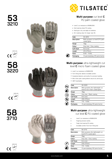

#### **Multi-purpose** cut level **C** PU palm coated glove

- Level C cut resistance to EN388:2016 **›**
- Hard wearing robust PU coating **›**
- Good grip in dry and slight oil conditions **›**
- Dirt masking colour for longer wear life **›**

| Code               | 53-3210                                           |
|--------------------|---------------------------------------------------|
| <b>Description</b> | Multi-purpose cut level C PU palm<br>coated glove |
| Gauge              | 13gg                                              |
| Colour             | Grey liner / Grey coating                         |
| Cuff Style         | Knit wrist                                        |
| Length             | 210-270mm                                         |
| <b>Sizes</b>       | 5/XS - 11/2XL                                     |
| Packaging          | 12 pairs/polybag 120 pairs/carton                 |
|                    |                                                   |

#### **Multi-purpose** ultra-lightweight cut level **C** micro foam coated glove

- Level C cut resistance to EN388:2016 **›**
- Form fitting liner delivers incredible comfort **›**
- Exceptional dexterity and tactility for precision handling **›**
- Micro foam palm coating delivers secure dry and oil grip **›**
- 360° breathability **›**

| Code               | 58-3220                                                                |  |  |
|--------------------|------------------------------------------------------------------------|--|--|
| <b>Description</b> | Multi-purpose ultra-lightweight cut<br>level C micro foam coated glove |  |  |
| Gauge              | 18gg                                                                   |  |  |
| Colour             | Grey liner / Black coating                                             |  |  |
| <b>Cuff Style</b>  | Knit wrist                                                             |  |  |
| Length             | 230-270mm                                                              |  |  |
| <b>Sizes</b>       | 7/S - 11/2XL                                                           |  |  |
| Packaging          | 12 pairs/polybag 120 pairs/carton                                      |  |  |
|                    |                                                                        |  |  |

#### **Multi-purpose** ultra-lightweight cut level **C** PU coated glove

- Level C cut resistance to EN388:2016 **›**
- Fingertip precision tactility

**›**

**›**

- Tough, hard wearing PU coating **›**
- Incredible comfort from form fitting liner

| Code               | 58-3710                                                        |  |  |
|--------------------|----------------------------------------------------------------|--|--|
| <b>Description</b> | Multi-purpose ultra-lightweight cut<br>level C PU coated glove |  |  |
| Gauge              | 18gg                                                           |  |  |
| Colour             | Grey liner / Grey coating                                      |  |  |
| <b>Cuff Style</b>  | Knit wrist                                                     |  |  |
| Length             | 230-270mm                                                      |  |  |
| <b>Sizes</b>       | 7/S - 11/2XL                                                   |  |  |
| Packaging          | 12 pairs/polybag 120 pairs/carton                              |  |  |





**53**

**3210**









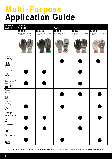### **Multi-Purpose Application Guide**

| Industry /<br>Application                                                  | <b>Products</b><br>Cut level B                                |                                                               | Cut level C                                 |                                                                 |                                                          |
|----------------------------------------------------------------------------|---------------------------------------------------------------|---------------------------------------------------------------|---------------------------------------------|-----------------------------------------------------------------|----------------------------------------------------------|
|                                                                            | 58-2810                                                       | 58-2220                                                       | 53-3210                                     | 58-3220                                                         | 58-3710                                                  |
|                                                                            | Multi-purpose ultra-lightweight<br>cut B PU palm coated glove | Multi-purpose ultra lightweight<br>cut B bi-polymer foam palm | Multi-purpose cut C PU<br>palm coated glove | Multi-purpose ultra-lightweight<br>cut C micro foam palm coated | Multi-purpose ultra-lightweight<br>cut C PU coated glove |
|                                                                            |                                                               | coated glove                                                  |                                             | glove                                                           |                                                          |
| General<br>assembly                                                        |                                                               |                                                               |                                             |                                                                 |                                                          |
| 矗                                                                          |                                                               |                                                               |                                             |                                                                 |                                                          |
| Intricate<br>assembly                                                      |                                                               |                                                               |                                             |                                                                 |                                                          |
| <b>Tifle</b>                                                               |                                                               |                                                               |                                             |                                                                 |                                                          |
| Automotive<br>downstream /<br>aftermarket<br>$\blacksquare$ $\blacksquare$ |                                                               |                                                               |                                             |                                                                 |                                                          |
| Component<br>handling                                                      |                                                               |                                                               |                                             |                                                                 |                                                          |
| e di Santa Bandar<br>Kabupatèn Salaman                                     |                                                               |                                                               |                                             |                                                                 |                                                          |
| Construction<br>industry                                                   |                                                               |                                                               |                                             |                                                                 |                                                          |
| I                                                                          |                                                               |                                                               |                                             |                                                                 |                                                          |
| White goods<br>manufacturing                                               |                                                               |                                                               |                                             |                                                                 |                                                          |
| $\hat{\mathbf{r}}$                                                         |                                                               |                                                               |                                             |                                                                 |                                                          |
| Aerospace<br>$\blacktriangledown$                                          |                                                               |                                                               |                                             |                                                                 |                                                          |
| Warehousing                                                                |                                                               |                                                               |                                             |                                                                 |                                                          |
|                                                                            |                                                               |                                                               |                                             |                                                                 |                                                          |

To view the full range visit: **tilsatec.com/gb/products/multi-purpose.** To arrange your free glove trial contact: **trialrequest@tilsatec.com**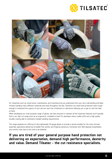



For industries such as construction, maintenance, and manufacturing we understand that your job is demanding and likely involves handling many different materials and tools throughout the day. Therefore you need hand protection that's tough enough to withstand the rigours of your job, but won't be a hindrance or distraction allowing you to get on with the task at hand.

When developing our multi-purpose range of gloves, we have ensured to maintain all the important features you'll typically find in our high cut range such as an ergonomic 'moulded to hand' fit, seamless colour-coded cuffs and a high quality durable coating able to withstand multiple handling requirements.

The range expands our offering of ultra-lightweight 18 gauge gloves to provide a series suitable for the most intricate assembly operations delivering incredible fine tactility and fingertip sensitivity. Combined with 360 degrees breathability and comfort they have to be tried to be believed.

### **If you are tired of your general purpose hand protection not delivering on expectation, demand high performance, dexterity and value. Demand Tilsatec - the cut resistance specialists.**